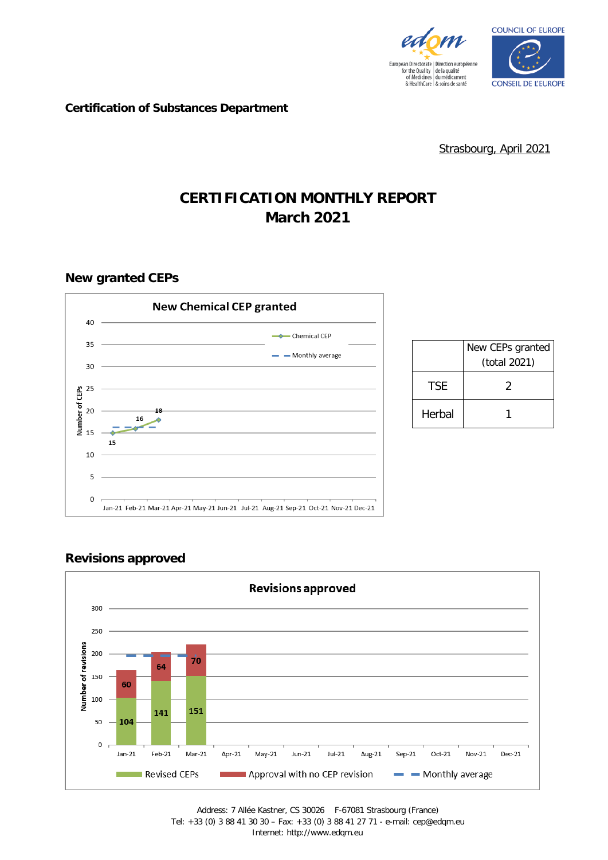



**Certification of Substances Department**

Strasbourg, April 2021

# **CERTIFICATION MONTHLY REPORT March 2021**

**New granted CEPs**



|        | New CEPs granted<br>(total 2021) |
|--------|----------------------------------|
| TSF    | 2                                |
| Herbal |                                  |

## **Revisions approved**

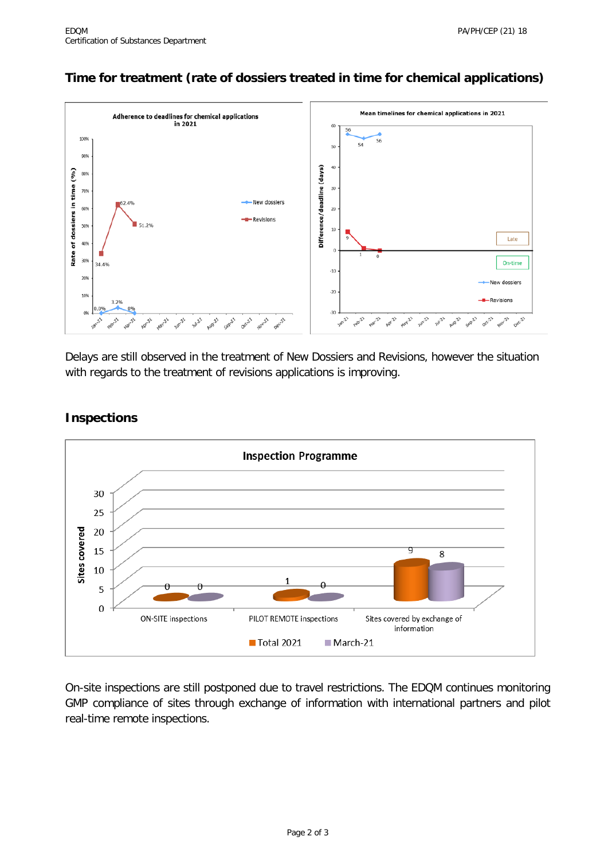## **Time for treatment (rate of dossiers treated in time for chemical applications)**



Delays are still observed in the treatment of New Dossiers and Revisions, however the situation with regards to the treatment of revisions applications is improving.

### **Inspections**



On-site inspections are still postponed due to travel restrictions. The EDQM continues monitoring GMP compliance of sites through exchange of information with international partners and pilot real-time remote inspections.